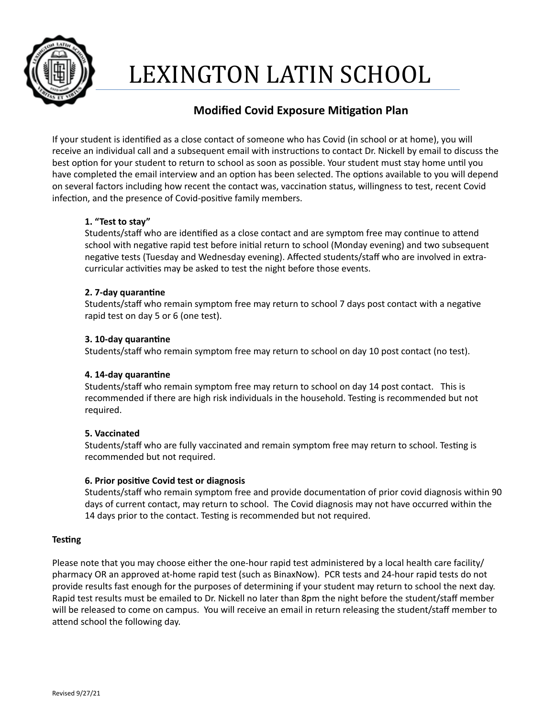

# LEXINGTON LATIN SCHOOL

# **Modified Covid Exposure Mitigation Plan**

If your student is identified as a close contact of someone who has Covid (in school or at home), you will receive an individual call and a subsequent email with instructions to contact Dr. Nickell by email to discuss the best option for your student to return to school as soon as possible. Your student must stay home until you have completed the email interview and an option has been selected. The options available to you will depend on several factors including how recent the contact was, vaccination status, willingness to test, recent Covid infection, and the presence of Covid-positive family members.

## 1. "Test to stay"

Students/staff who are identified as a close contact and are symptom free may continue to attend school with negative rapid test before initial return to school (Monday evening) and two subsequent negative tests (Tuesday and Wednesday evening). Affected students/staff who are involved in extracurricular activities may be asked to test the night before those events.

#### **2. 7-day quarantine**

Students/staff who remain symptom free may return to school 7 days post contact with a negative rapid test on day 5 or 6 (one test).

### **3. 10-day quarantine**

Students/staff who remain symptom free may return to school on day 10 post contact (no test).

#### **4. 14-day quarantine**

Students/staff who remain symptom free may return to school on day 14 post contact. This is recommended if there are high risk individuals in the household. Testing is recommended but not required.

#### **5. Vaccinated**

Students/staff who are fully vaccinated and remain symptom free may return to school. Testing is recommended but not required.

#### **6. Prior positive Covid test or diagnosis**

Students/staff who remain symptom free and provide documentation of prior covid diagnosis within 90 days of current contact, may return to school. The Covid diagnosis may not have occurred within the 14 days prior to the contact. Testing is recommended but not required.

#### **Testing**

Please note that you may choose either the one-hour rapid test administered by a local health care facility/ pharmacy OR an approved at-home rapid test (such as BinaxNow). PCR tests and 24-hour rapid tests do not provide results fast enough for the purposes of determining if your student may return to school the next day. Rapid test results must be emailed to Dr. Nickell no later than 8pm the night before the student/staff member will be released to come on campus. You will receive an email in return releasing the student/staff member to attend school the following day.